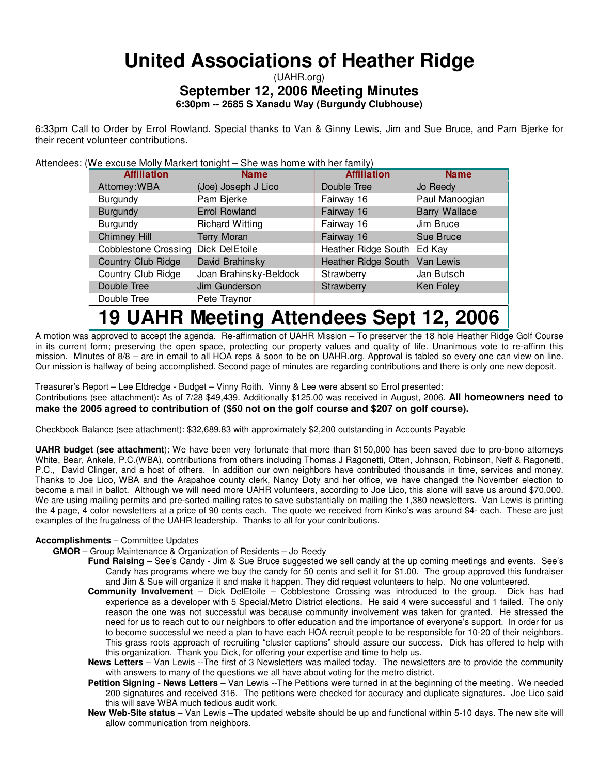# **United Associations of Heather Ridge**

## (UAHR.org) **September 12, 2006 Meeting Minutes**

**6:30pm -- 2685 S Xanadu Way (Burgundy Clubhouse)**

6:33pm Call to Order by Errol Rowland. Special thanks to Van & Ginny Lewis, Jim and Sue Bruce, and Pam Bjerke for their recent volunteer contributions.

Attendees: (We excuse Molly Markert tonight – She was home with her family)

| <b>Affiliation</b>                  | <b>Name</b>            | <b>Affiliation</b>            | <b>Name</b>          |
|-------------------------------------|------------------------|-------------------------------|----------------------|
| Attorney: WBA                       | (Joe) Joseph J Lico    | Double Tree                   | Jo Reedy             |
| <b>Burgundy</b>                     | Pam Bjerke             | Fairway 16                    | Paul Manoogian       |
| <b>Burgundy</b>                     | <b>Errol Rowland</b>   | Fairway 16                    | <b>Barry Wallace</b> |
| Burgundy                            | <b>Richard Witting</b> | Fairway 16                    | Jim Bruce            |
| Chimney Hill                        | <b>Terry Moran</b>     | Fairway 16                    | Sue Bruce            |
| Cobblestone Crossing Dick DelEtoile |                        | Heather Ridge South Ed Kay    |                      |
| Country Club Ridge                  | David Brahinsky        | Heather Ridge South Van Lewis |                      |
| Country Club Ridge                  | Joan Brahinsky-Beldock | Strawberry                    | Jan Butsch           |
| Double Tree                         | Jim Gunderson          | Strawberry                    | Ken Foley            |
| Double Tree                         | Pete Traynor           |                               |                      |
|                                     | - -<br>.               |                               |                      |

## **19 UAHR Meeting Attendees Sept 12, 2006**

A motion was approved to accept the agenda. Re-affirmation of UAHR Mission – To preserver the 18 hole Heather Ridge Golf Course in its current form; preserving the open space, protecting our property values and quality of life. Unanimous vote to re-affirm this mission. Minutes of 8/8 – are in email to all HOA reps & soon to be on UAHR.org. Approval is tabled so every one can view on line. Our mission is halfway of being accomplished. Second page of minutes are regarding contributions and there is only one new deposit.

Treasurer's Report – Lee Eldredge - Budget – Vinny Roith. Vinny & Lee were absent so Errol presented: Contributions (see attachment): As of 7/28 \$49,439. Additionally \$125.00 was received in August, 2006. **All homeowners need to make the 2005 agreed to contribution of (\$50 not on the golf course and \$207 on golf course).**

Checkbook Balance (see attachment): \$32,689.83 with approximately \$2,200 outstanding in Accounts Payable

**UAHR budget (see attachment**): We have been very fortunate that more than \$150,000 has been saved due to pro-bono attorneys White, Bear, Ankele, P.C.(WBA), contributions from others including Thomas J Ragonetti, Otten, Johnson, Robinson, Neff & Ragonetti, P.C., David Clinger, and a host of others. In addition our own neighbors have contributed thousands in time, services and money. Thanks to Joe Lico, WBA and the Arapahoe county clerk, Nancy Doty and her office, we have changed the November election to become a mail in ballot. Although we will need more UAHR volunteers, according to Joe Lico, this alone will save us around \$70,000. We are using mailing permits and pre-sorted mailing rates to save substantially on mailing the 1,380 newsletters. Van Lewis is printing the 4 page, 4 color newsletters at a price of 90 cents each. The quote we received from Kinko's was around \$4- each. These are just examples of the frugalness of the UAHR leadership. Thanks to all for your contributions.

#### **Accomplishments** – Committee Updates

- **GMOR** Group Maintenance & Organization of Residents Jo Reedy
	- **Fund Raising** See's Candy Jim & Sue Bruce suggested we sell candy at the up coming meetings and events. See's Candy has programs where we buy the candy for 50 cents and sell it for \$1.00. The group approved this fundraiser and Jim & Sue will organize it and make it happen. They did request volunteers to help. No one volunteered.
	- **Community Involvement** Dick DelEtoile Cobblestone Crossing was introduced to the group. Dick has had experience as a developer with 5 Special/Metro District elections. He said 4 were successful and 1 failed. The only reason the one was not successful was because community involvement was taken for granted. He stressed the need for us to reach out to our neighbors to offer education and the importance of everyone's support. In order for us to become successful we need a plan to have each HOA recruit people to be responsible for 10-20 of their neighbors. This grass roots approach of recruiting "cluster captions" should assure our success. Dick has offered to help with this organization. Thank you Dick, for offering your expertise and time to help us.
	- **News Letters** Van Lewis --The first of 3 Newsletters was mailed today. The newsletters are to provide the community with answers to many of the questions we all have about voting for the metro district.
	- **Petition Signing - News Letters** Van Lewis --The Petitions were turned in at the beginning of the meeting. We needed 200 signatures and received 316. The petitions were checked for accuracy and duplicate signatures. Joe Lico said this will save WBA much tedious audit work.
	- **New Web-Site status** Van Lewis –The updated website should be up and functional within 5-10 days. The new site will allow communication from neighbors.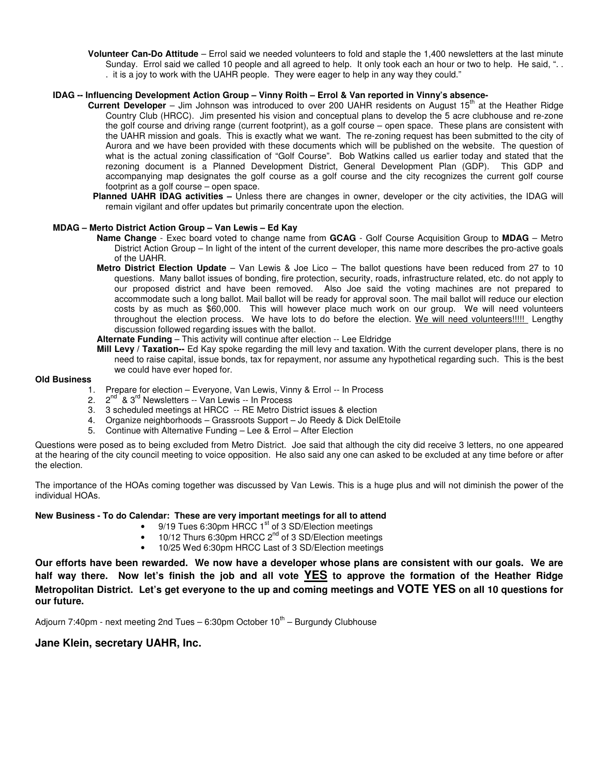**Volunteer Can-Do Attitude** – Errol said we needed volunteers to fold and staple the 1,400 newsletters at the last minute Sunday. Errol said we called 10 people and all agreed to help. It only took each an hour or two to help. He said, ".. . it is a joy to work with the UAHR people. They were eager to help in any way they could."

#### **IDAG -- Influencing Development Action Group – Vinny Roith – Errol & Van reported in Vinny's absence-**

- Current Developer Jim Johnson was introduced to over 200 UAHR residents on August 15<sup>th</sup> at the Heather Ridge Country Club (HRCC). Jim presented his vision and conceptual plans to develop the 5 acre clubhouse and re-zone the golf course and driving range (current footprint), as a golf course – open space. These plans are consistent with the UAHR mission and goals. This is exactly what we want. The re-zoning request has been submitted to the city of Aurora and we have been provided with these documents which will be published on the website. The question of what is the actual zoning classification of "Golf Course". Bob Watkins called us earlier today and stated that the rezoning document is a Planned Development District, General Development Plan (GDP). This GDP and accompanying map designates the golf course as a golf course and the city recognizes the current golf course footprint as a golf course – open space.
- **Planned UAHR IDAG activities –** Unless there are changes in owner, developer or the city activities, the IDAG will remain vigilant and offer updates but primarily concentrate upon the election.

#### **MDAG – Merto District Action Group – Van Lewis – Ed Kay**

- **Name Change** Exec board voted to change name from **GCAG** Golf Course Acquisition Group to **MDAG** Metro District Action Group – In light of the intent of the current developer, this name more describes the pro-active goals of the UAHR.
- **Metro District Election Update** Van Lewis & Joe Lico The ballot questions have been reduced from 27 to 10 questions. Many ballot issues of bonding, fire protection, security, roads, infrastructure related, etc. do not apply to our proposed district and have been removed. Also Joe said the voting machines are not prepared to accommodate such a long ballot. Mail ballot will be ready for approval soon. The mail ballot will reduce our election costs by as much as \$60,000. This will however place much work on our group. We will need volunteers throughout the election process. We have lots to do before the election. We will need volunteers!!!!! Lengthy discussion followed regarding issues with the ballot.

#### **Alternate Funding** – This activity will continue after election -- Lee Eldridge

**Mill Levy / Taxation--** Ed Kay spoke regarding the mill levy and taxation. With the current developer plans, there is no need to raise capital, issue bonds, tax for repayment, nor assume any hypothetical regarding such. This is the best we could have ever hoped for.

#### **Old Business**

- 1. Prepare for election Everyone, Van Lewis, Vinny & Errol -- In Process
- 2. 2<sup>nd</sup> & 3<sup>rd</sup> Newsletters -- Van Lewis -- In Process
- 3. 3 scheduled meetings at HRCC -- RE Metro District issues & election
- 4. Organize neighborhoods Grassroots Support Jo Reedy & Dick DelEtoile
- 5. Continue with Alternative Funding Lee & Errol After Election

Questions were posed as to being excluded from Metro District. Joe said that although the city did receive 3 letters, no one appeared at the hearing of the city council meeting to voice opposition. He also said any one can asked to be excluded at any time before or after the election.

The importance of the HOAs coming together was discussed by Van Lewis. This is a huge plus and will not diminish the power of the individual HOAs.

#### **New Business - To do Calendar: These are very important meetings for all to attend**

- 9/19 Tues 6:30pm HRCC 1<sup>st</sup> of 3 SD/Election meetings
	- 10/12 Thurs 6:30pm HRCC 2<sup>nd</sup> of 3 SD/Election meetings
	- 10/25 Wed 6:30pm HRCC Last of 3 SD/Election meetings

Our efforts have been rewarded. We now have a developer whose plans are consistent with our goals. We are half way there. Now let's finish the job and all vote YES to approve the formation of the Heather Ridge Metropolitan District. Let's get everyone to the up and coming meetings and VOTE YES on all 10 questions for **our future.**

Adjourn 7:40pm - next meeting 2nd Tues - 6:30pm October 10<sup>th</sup> - Burgundy Clubhouse

#### **Jane Klein, secretary UAHR, Inc.**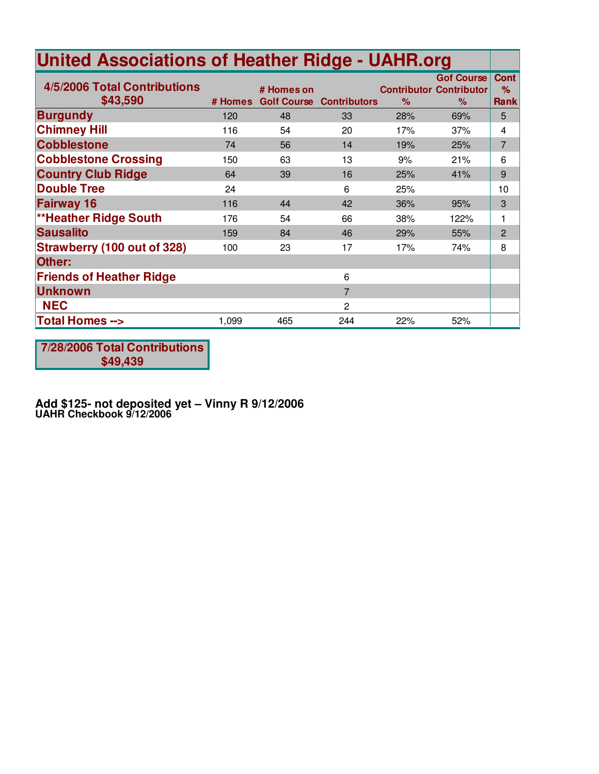| <b>United Associations of Heather Ridge - UAHR.org</b> |         |                                  |                     |      |                                                             |                                 |
|--------------------------------------------------------|---------|----------------------------------|---------------------|------|-------------------------------------------------------------|---------------------------------|
| 4/5/2006 Total Contributions<br>\$43,590               | # Homes | # Homes on<br><b>Golf Course</b> | <b>Contributors</b> | $\%$ | <b>Gof Course</b><br><b>Contributor Contributor</b><br>$\%$ | <b>Cont</b><br>%<br><b>Rank</b> |
| <b>Burgundy</b>                                        | 120     | 48                               | 33                  | 28%  | 69%                                                         | 5                               |
| <b>Chimney Hill</b>                                    | 116     | 54                               | 20                  | 17%  | 37%                                                         | 4                               |
| <b>Cobblestone</b>                                     | 74      | 56                               | 14                  | 19%  | 25%                                                         | $\overline{7}$                  |
| <b>Cobblestone Crossing</b>                            | 150     | 63                               | 13                  | 9%   | 21%                                                         | 6                               |
| <b>Country Club Ridge</b>                              | 64      | 39                               | 16                  | 25%  | 41%                                                         | 9                               |
| <b>Double Tree</b>                                     | 24      |                                  | 6                   | 25%  |                                                             | 10                              |
| <b>Fairway 16</b>                                      | 116     | 44                               | 42                  | 36%  | 95%                                                         | 3                               |
| <b>**Heather Ridge South</b>                           | 176     | 54                               | 66                  | 38%  | 122%                                                        | 1                               |
| <b>Sausalito</b>                                       | 159     | 84                               | 46                  | 29%  | 55%                                                         | $\overline{2}$                  |
| <b>Strawberry (100 out of 328)</b>                     | 100     | 23                               | 17                  | 17%  | 74%                                                         | 8                               |
| Other:                                                 |         |                                  |                     |      |                                                             |                                 |
| <b>Friends of Heather Ridge</b>                        |         |                                  | 6                   |      |                                                             |                                 |
| <b>Unknown</b>                                         |         |                                  | $\overline{7}$      |      |                                                             |                                 |
| <b>NEC</b>                                             |         |                                  | 2                   |      |                                                             |                                 |
| <b>Total Homes --&gt;</b>                              | 1,099   | 465                              | 244                 | 22%  | 52%                                                         |                                 |

**7/28/2006 Total Contributions \$49,439**

**Add \$125- not deposited yet – Vinny R 9/12/2006 UAHR Checkbook 9/12/2006**